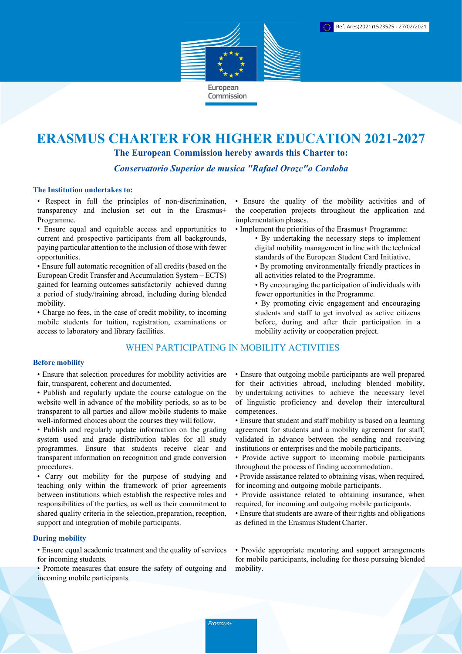

# ERASMUS CHARTER FOR HIGHER EDUCATION 2021-2027

The European Commission hereby awards this Charter to:

Conservatorio Superior de musica "Rafael Orozc"o Cordoba

#### The Institution undertakes to:

• Respect in full the principles of non-discrimination, transparency and inclusion set out in the Erasmus+ Programme.

• Ensure equal and equitable access and opportunities to current and prospective participants from all backgrounds, paying particular attention to the inclusion of those with fewer opportunities.

• Ensure full automatic recognition of all credits (based on the European Credit Transfer and Accumulation System – ECTS) gained for learning outcomes satisfactorily achieved during a period of study/training abroad, including during blended mobility.

• Charge no fees, in the case of credit mobility, to incoming mobile students for tuition, registration, examinations or access to laboratory and library facilities.

# WHEN PARTICIPATING IN MOBILITY ACTIVITIES

### Before mobility

• Ensure that selection procedures for mobility activities are fair, transparent, coherent and documented.

- Publish and regularly update the course catalogue on the website well in advance of the mobility periods, so as to be transparent to all parties and allow mobile students to make well-informed choices about the courses they will follow.
- Publish and regularly update information on the grading system used and grade distribution tables for all study programmes. Ensure that students receive clear and transparent information on recognition and grade conversion procedures.

• Carry out mobility for the purpose of studying and teaching only within the framework of prior agreements between institutions which establish the respective roles and responsibilities of the parties, as well as their commitment to shared quality criteria in the selection, preparation, reception, support and integration of mobile participants.

### During mobility

• Ensure equal academic treatment and the quality of services for incoming students.

• Promote measures that ensure the safety of outgoing and incoming mobile participants.

• Ensure the quality of the mobility activities and of the cooperation projects throughout the application and implementation phases.

- Implement the priorities of the Erasmus+ Programme:
	- By undertaking the necessary steps to implement digital mobility management in line with the technical standards of the European Student Card Initiative.
		- By promoting environmentally friendly practices in all activities related to the Programme.
		- By encouraging the participation of individuals with fewer opportunities in the Programme.
		- By promoting civic engagement and encouraging students and staff to get involved as active citizens before, during and after their participation in a mobility activity or cooperation project.

• Ensure that outgoing mobile participants are well prepared for their activities abroad, including blended mobility, by undertaking activities to achieve the necessary level of linguistic proficiency and develop their intercultural competences.

- Ensure that student and staff mobility is based on a learning agreement for students and a mobility agreement for staff, validated in advance between the sending and receiving institutions or enterprises and the mobile participants.
- Provide active support to incoming mobile participants throughout the process of finding accommodation.
- Provide assistance related to obtaining visas, when required, for incoming and outgoing mobile participants.
- Provide assistance related to obtaining insurance, when required, for incoming and outgoing mobile participants.
- Ensure that students are aware of their rights and obligations as defined in the Erasmus Student Charter.

• Provide appropriate mentoring and support arrangements for mobile participants, including for those pursuing blended mobility.

Erasmus+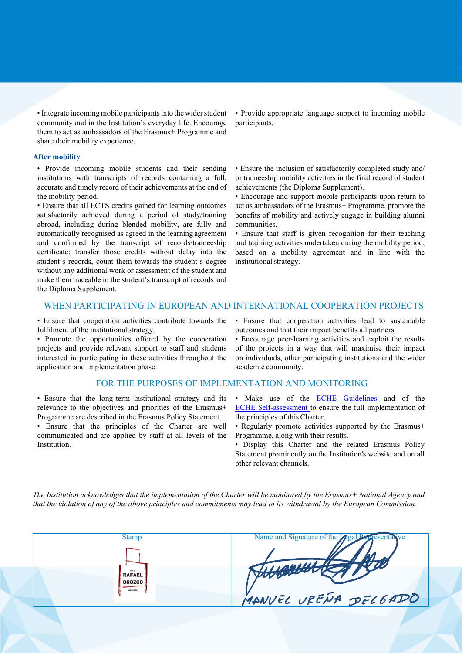• Integrate incoming mobile participants into the wider student community and in the Institution's everyday life. Encourage them to act as ambassadors of the Erasmus+ Programme and share their mobility experience.

#### After mobility

• Provide incoming mobile students and their sending institutions with transcripts of records containing a full, accurate and timely record of their achievements at the end of the mobility period.

• Ensure that all ECTS credits gained for learning outcomes satisfactorily achieved during a period of study/training abroad, including during blended mobility, are fully and automatically recognised as agreed in the learning agreement and confirmed by the transcript of records/traineeship certificate; transfer those credits without delay into the student's records, count them towards the student's degree without any additional work or assessment of the student and make them traceable in the student's transcript of records and the Diploma Supplement.

• Provide appropriate language support to incoming mobile participants.

• Ensure the inclusion of satisfactorily completed study and/ or traineeship mobility activities in the final record of student achievements (the Diploma Supplement).

• Encourage and support mobile participants upon return to act as ambassadors of the Erasmus+ Programme, promote the benefits of mobility and actively engage in building alumni communities.

• Ensure that staff is given recognition for their teaching and training activities undertaken during the mobility period, based on a mobility agreement and in line with the institutional strategy.

# WHEN PARTICIPATING IN EUROPEAN AND INTERNATIONAL COOPERATION PROJECTS

• Ensure that cooperation activities contribute towards the fulfilment of the institutional strategy.

• Promote the opportunities offered by the cooperation projects and provide relevant support to staff and students interested in participating in these activities throughout the application and implementation phase.

## FOR THE PURPOSES OF IMPLEMENTATION AND MONITORING

• Ensure that the long-term institutional strategy and its relevance to the objectives and priorities of the Erasmus+ Programme are described in the Erasmus Policy Statement.

• Ensure that the principles of the Charter are well communicated and are applied by staff at all levels of the Institution.

• Ensure that cooperation activities lead to sustainable outcomes and that their impact benefits all partners.

• Encourage peer-learning activities and exploit the results of the projects in a way that will maximise their impact on individuals, other participating institutions and the wider academic community.

- Make use of the ECHE Guidelines and of the ECHE Self-assessment to ensure the full implementation of the principles of this Charter.
- Regularly promote activities supported by the Erasmus+ Programme, along with their results.
- Display this Charter and the related Erasmus Policy Statement prominently on the Institution's website and on all other relevant channels.

The Institution acknowledges that the implementation of the Charter will be monitored by the Erasmus+ National Agency and that the violation of any of the above principles and commitments may lead to its withdrawal by the European Commission.

| <b>Stamp</b>                           | Name and Signature of the Legal Popresentative |
|----------------------------------------|------------------------------------------------|
|                                        |                                                |
| 0.5M<br><b>RAFAEL</b><br><b>OROZCO</b> | Support to the                                 |
| CÓIDORA                                | MANVEL URENA DELGADO                           |